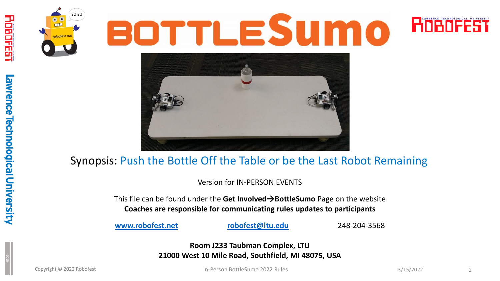





#### Synopsis: Push the Bottle Off the Table or be the Last Robot Remaining

Version for IN-PERSON EVENTS

This file can be found under the **Get InvolvedBottleSumo** Page on the website **Coaches are responsible for communicating rules updates to participants**

**[www.robofest.net](http://www.robofest.net/) [robofest@ltu.edu](mailto:robofest@ltu.edu)** 248-204-3568

**Room J233 Taubman Complex, LTU 21000 West 10 Mile Road, Southfield, MI 48075, USA**

awrence Technological University

**THE PERSONAL PROPERTY** 

 $\Box$ 

Copyright © 2022 Robofest 3/15/2022 1 In-Person BottleSumo 2022 Rules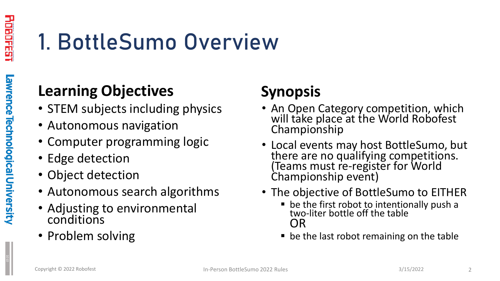### 1. BottleSumo Overview

#### **Learning Objectives**

- STEM subjects including physics
- Autonomous navigation
- Computer programming logic
- Edge detection
- Object detection
- Autonomous search algorithms
- Adjusting to environmental conditions
- Problem solving

#### **Synopsis**

- An Open Category competition, which will take place at the World Robofest Championship
- Local events may host BottleSumo, but there are no qualifying competitions. (Teams must re-register for World Championship event)
- The objective of BottleSumo to EITHER
	- **De the first robot to intentionally push a** two-liter bottle off the table OR
	- be the last robot remaining on the table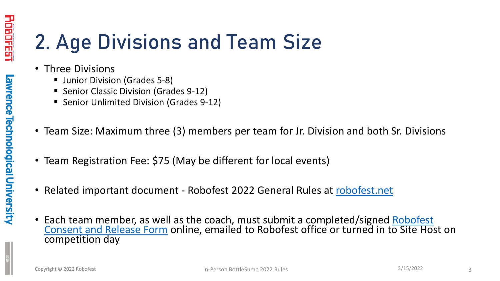#### 2. Age Divisions and Team Size

- Three Divisions
	- **Junior Division (Grades 5-8)**
	- **Senior Classic Division (Grades 9-12)**
	- Senior Unlimited Division (Grades 9-12)
- Team Size: Maximum three (3) members per team for Jr. Division and both Sr. Divisions
- Team Registration Fee: \$75 (May be different for local events)
- Related important document Robofest 2022 General Rules at [robofest.net](http://www.robofest.net/)
- [Each team member, as well as the coach, must submit a completed/signed Robofest](http://robofest.net/RobofestConsentReleaseForm.pdf) Consent and Release Form online, emailed to Robofest office or turned in to Site Host on competition day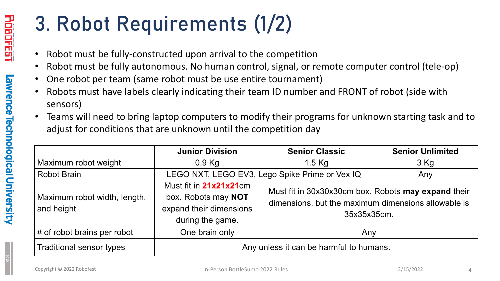### 3. Robot Requirements (1/2)

- Robot must be fully-constructed upon arrival to the competition
- Robot must be fully autonomous. No human control, signal, or remote computer control (tele-op)
- One robot per team (same robot must be use entire tournament)
- Robots must have labels clearly indicating their team ID number and FRONT of robot (side with sensors)
- Teams will need to bring laptop computers to modify their programs for unknown starting task and to adjust for conditions that are unknown until the competition day

|                                            | <b>Junior Division</b>                                                                       | <b>Senior Classic</b>                                                                                                     | <b>Senior Unlimited</b> |  |  |
|--------------------------------------------|----------------------------------------------------------------------------------------------|---------------------------------------------------------------------------------------------------------------------------|-------------------------|--|--|
| Maximum robot weight                       | $0.9$ Kg                                                                                     | $1.5$ Kg                                                                                                                  | 3 Kg                    |  |  |
| <b>Robot Brain</b>                         | LEGO NXT, LEGO EV3, Lego Spike Prime or Vex IQ                                               | Any                                                                                                                       |                         |  |  |
| Maximum robot width, length,<br>and height | Must fit in 21x21x21cm<br>box. Robots may NOT<br>expand their dimensions<br>during the game. | Must fit in 30x30x30cm box. Robots may expand their<br>dimensions, but the maximum dimensions allowable is<br>35x35x35cm. |                         |  |  |
| # of robot brains per robot                | One brain only                                                                               | Any                                                                                                                       |                         |  |  |
| <b>Traditional sensor types</b>            |                                                                                              | Any unless it can be harmful to humans.                                                                                   |                         |  |  |

1010

Lawrence Technological University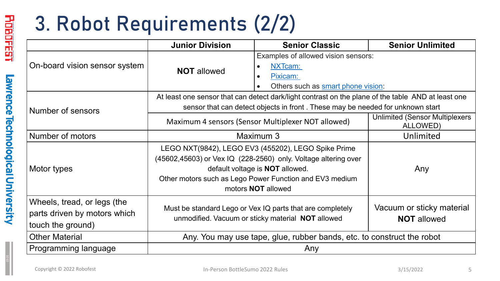### 3. Robot Requirements (2/2)

|                                                                                  | <b>Junior Division</b>                                                                                                                                                                                                                                  | <b>Senior Classic</b>                                                  | <b>Senior Unlimited</b> |  |  |
|----------------------------------------------------------------------------------|---------------------------------------------------------------------------------------------------------------------------------------------------------------------------------------------------------------------------------------------------------|------------------------------------------------------------------------|-------------------------|--|--|
| On-board vision sensor system                                                    | <b>NOT allowed</b>                                                                                                                                                                                                                                      | Examples of allowed vision sensors:<br>NXTcam:<br>Pixicam:             |                         |  |  |
|                                                                                  | Others such as smart phone vision:<br>$\bullet$<br>At least one sensor that can detect dark/light contrast on the plane of the table AND at least one                                                                                                   |                                                                        |                         |  |  |
| Number of sensors                                                                | sensor that can detect objects in front. These may be needed for unknown start                                                                                                                                                                          |                                                                        |                         |  |  |
|                                                                                  | Maximum 4 sensors (Sensor Multiplexer NOT allowed)                                                                                                                                                                                                      | <b>Unlimited (Sensor Multiplexers)</b><br>ALLOWED)                     |                         |  |  |
| Number of motors                                                                 | Maximum 3                                                                                                                                                                                                                                               | Unlimited                                                              |                         |  |  |
| Motor types                                                                      | LEGO NXT(9842), LEGO EV3 (455202), LEGO Spike Prime<br>(45602,45603) or Vex IQ (228-2560) only. Voltage altering over<br>default voltage is <b>NOT</b> allowed.<br>Other motors such as Lego Power Function and EV3 medium<br>motors <b>NOT</b> allowed | Any                                                                    |                         |  |  |
| Wheels, tread, or legs (the<br>parts driven by motors which<br>touch the ground) | Must be standard Lego or Vex IQ parts that are completely<br>unmodified. Vacuum or sticky material NOT allowed                                                                                                                                          | Vacuum or sticky material<br><b>NOT</b> allowed                        |                         |  |  |
| <b>Other Material</b>                                                            |                                                                                                                                                                                                                                                         | Any. You may use tape, glue, rubber bands, etc. to construct the robot |                         |  |  |
| Programming language                                                             |                                                                                                                                                                                                                                                         | Any                                                                    |                         |  |  |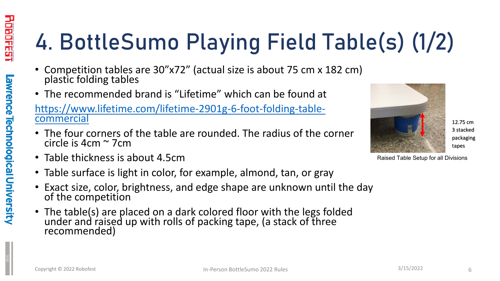# 4. BottleSumo Playing Field Table(s) (1/2)

- Competition tables are 30"x72" (actual size is about 75 cm x 182 cm) plastic folding tables
- The recommended brand is "Lifetime" which can be found at

[https://www.lifetime.com/lifetime-2901g-6-foot-folding-table-](https://www.lifetime.com/lifetime-2901g-6-foot-folding-table-commercial) commercial

- The four corners of the table are rounded. The radius of the corner circle is 4cm ~ 7cm
- Table thickness is about 4.5cm
- Table surface is light in color, for example, almond, tan, or gray
- Exact size, color, brightness, and edge shape are unknown until the day of the competition
- The table(s) are placed on a dark colored floor with the legs folded under and raised up with rolls of packing tape, (a stack of three recommended)



12.75 cm 3 stacked packaging tapes

Raised Table Setup for all Divisions

LI LI LI LI

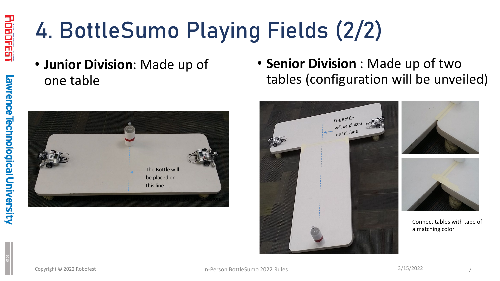awrence Technological University

### 4. BottleSumo Playing Fields (2/2)

• **Junior Division**: Made up of one table



• **Senior Division** : Made up of two tables (configuration will be unveiled)

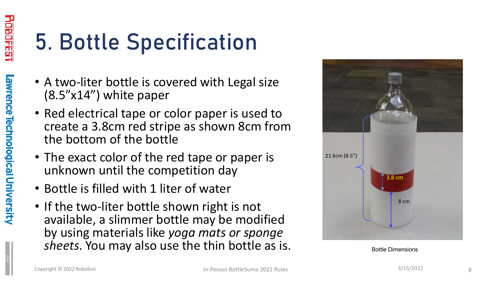### 5. Bottle Specification

- A two-liter bottle is covered with Legal size (8.5"x14") white paper
- Red electrical tape or color paper is used to create a 3.8cm red stripe as shown 8cm from the bottom of the bottle
- The exact color of the red tape or paper is unknown until the competition day
- Bottle is filled with 1 liter of water
- If the two-liter bottle shown right is not available, a slimmer bottle may be modified by using materials like *yoga mats or sponge sheets*. You may also use the thin bottle as is.



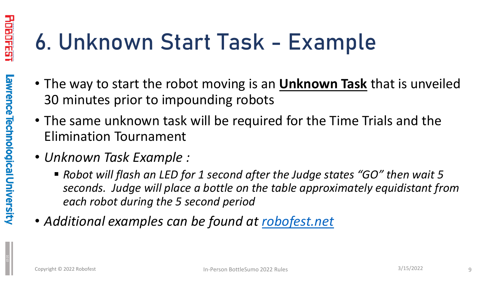### 6. Unknown Start Task - Example

- The way to start the robot moving is an **Unknown Task** that is unveiled 30 minutes prior to impounding robots
- The same unknown task will be required for the Time Trials and the Elimination Tournament
- *Unknown Task Example :* 
	- *Robot will flash an LED for 1 second after the Judge states "GO" then wait 5 seconds. Judge will place a bottle on the table approximately equidistant from each robot during the 5 second period*
- *Additional examples can be found at [robofest.net](https://robofest.net/)*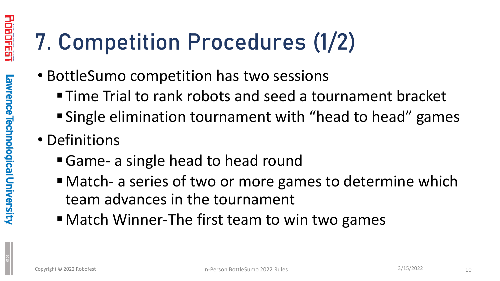### 7. Competition Procedures (1/2)

- BottleSumo competition has two sessions
	- Time Trial to rank robots and seed a tournament bracket
	- Single elimination tournament with "head to head" games
- Definitions
	- Game- a single head to head round
	- Match- a series of two or more games to determine which team advances in the tournament
	- Match Winner-The first team to win two games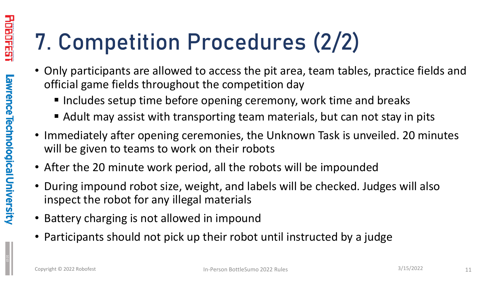### 7. Competition Procedures (2/2)

- Only participants are allowed to access the pit area, team tables, practice fields and official game fields throughout the competition day
	- Includes setup time before opening ceremony, work time and breaks
	- Adult may assist with transporting team materials, but can not stay in pits
- Immediately after opening ceremonies, the Unknown Task is unveiled. 20 minutes will be given to teams to work on their robots
- After the 20 minute work period, all the robots will be impounded
- During impound robot size, weight, and labels will be checked. Judges will also inspect the robot for any illegal materials
- Battery charging is not allowed in impound
- Participants should not pick up their robot until instructed by a judge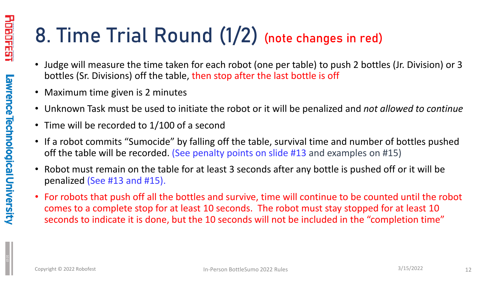#### 8. Time Trial Round (1/2) (note changes in red)

- Judge will measure the time taken for each robot (one per table) to push 2 bottles (Jr. Division) or 3 bottles (Sr. Divisions) off the table, then stop after the last bottle is off
- Maximum time given is 2 minutes
- Unknown Task must be used to initiate the robot or it will be penalized and *not allowed to continue*
- Time will be recorded to 1/100 of a second
- If a robot commits "Sumocide" by falling off the table, survival time and number of bottles pushed off the table will be recorded. (See penalty points on slide #13 and examples on #15)
- Robot must remain on the table for at least 3 seconds after any bottle is pushed off or it will be penalized (See #13 and #15).
- For robots that push off all the bottles and survive, time will continue to be counted until the robot comes to a complete stop for at least 10 seconds. The robot must stay stopped for at least 10 seconds to indicate it is done, but the 10 seconds will not be included in the "completion time"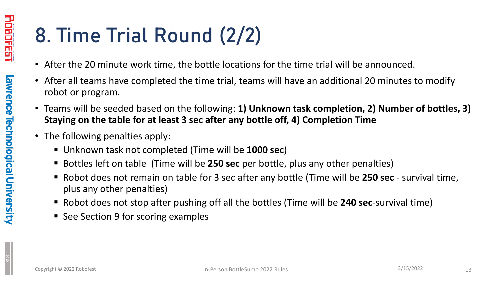#### 8. Time Trial Round (2/2)

- After the 20 minute work time, the bottle locations for the time trial will be announced.
- After all teams have completed the time trial, teams will have an additional 20 minutes to modify robot or program.
- Teams will be seeded based on the following: **1) Unknown task completion, 2) Number of bottles, 3) Staying on the table for at least 3 sec after any bottle off, 4) Completion Time**
- The following penalties apply:
	- Unknown task not completed (Time will be **1000 sec**)
	- Bottles left on table (Time will be **250 sec** per bottle, plus any other penalties)
	- Robot does not remain on table for 3 sec after any bottle (Time will be **250 sec**  survival time, plus any other penalties)
	- Robot does not stop after pushing off all the bottles (Time will be **240 sec**-survival time)
	- See Section 9 for scoring examples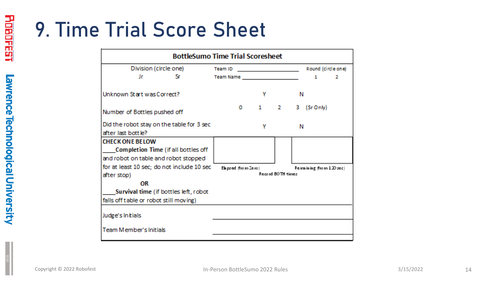#### 9. Time Trial Score Sheet

| <b>BottleSumo Time Trial Scoresheet</b>    |                                                    |                          |  |  |  |  |
|--------------------------------------------|----------------------------------------------------|--------------------------|--|--|--|--|
| Division (circle one)                      | Team ID<br><u> 1980 - Johann Barbara, martin a</u> | Round (circle one)       |  |  |  |  |
| Jr<br>Sr.                                  |                                                    | 1<br>2                   |  |  |  |  |
| Unknown Start was Correct?                 | Υ                                                  | Ν                        |  |  |  |  |
| Number of Bottles pushed off               | $1 \quad$<br>$\sim$ 2<br>$\mathbf{O}$              | в<br>(Sr Only)           |  |  |  |  |
| Did the robot stay on the table for 3 sec  | v                                                  | Ν                        |  |  |  |  |
| after last bottle?                         |                                                    |                          |  |  |  |  |
| <b>CHECK ONE BELOW</b>                     |                                                    |                          |  |  |  |  |
| Completion Time (if all bottles off        |                                                    |                          |  |  |  |  |
| and robot on table and robot stopped       |                                                    |                          |  |  |  |  |
| for at least 10 sec; do not include 10 sec | Elapsed (from Zero)                                | Remaining (from 120 sec) |  |  |  |  |
| after stop)                                | Record BOTH times                                  |                          |  |  |  |  |
| OR                                         |                                                    |                          |  |  |  |  |
| Survival time (if bottles left, robot      |                                                    |                          |  |  |  |  |
| falls off table or robot still moving)     |                                                    |                          |  |  |  |  |
| Judge's Initials                           |                                                    |                          |  |  |  |  |
| Team Member's Initials                     |                                                    |                          |  |  |  |  |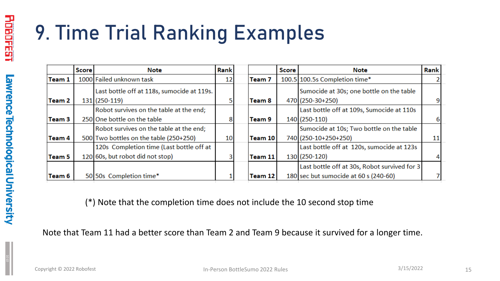#### 9. Time Trial Ranking Examples

|                   | <b>Score</b> | <b>Note</b>                                | Rank |         | <b>Score</b> | <b>Note</b>                                  | Rank |
|-------------------|--------------|--------------------------------------------|------|---------|--------------|----------------------------------------------|------|
| Team 1            |              | 1000 Failed unknown task                   | 12   | Team 7  |              | 100.5 100.5s Completion time*                |      |
|                   |              | Last bottle off at 118s, sumocide at 119s. |      |         |              | Sumocide at 30s; one bottle on the table     |      |
| Team 2            |              | 131 (250-119)                              |      | Team 8  |              | 470 (250-30+250)                             |      |
|                   |              | Robot survives on the table at the end;    |      |         |              | Last bottle off at 109s, Sumocide at 110s    |      |
| Team <sub>3</sub> |              | 250 One bottle on the table                | 8    | Team 9  |              | 140 (250-110)                                |      |
|                   |              | Robot survives on the table at the end;    |      |         |              | Sumocide at 10s; Two bottle on the table     |      |
| Team 4            |              | 500 Two bottles on the table (250+250)     | 10   | Team 10 |              | 740 (250-10+250+250)                         | 11   |
|                   |              | 120s Completion time (Last bottle off at   |      |         |              | Last bottle off at 120s, sumocide at 123s    |      |
| Team 5            |              | 120 60s, but robot did not stop)           |      | Team 11 |              | 130 (250-120)                                |      |
|                   |              |                                            |      |         |              | Last bottle off at 30s, Robot survived for 3 |      |
| Team 6            |              | 50 50s Completion time*                    |      | Team 12 |              | 180 sec but sumocide at 60 s (240-60)        |      |

(\*) Note that the completion time does not include the 10 second stop time

Note that Team 11 had a better score than Team 2 and Team 9 because it survived for a longer time.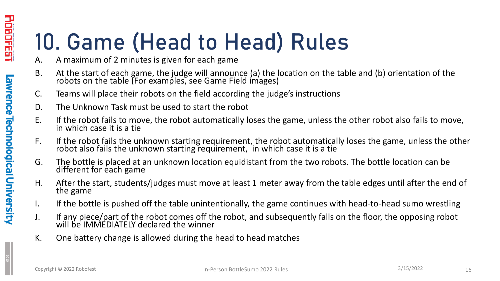### 10. Game (Head to Head) Rules

- A. A maximum of 2 minutes is given for each game
- B. At the start of each game, the judge will announce (a) the location on the table and (b) orientation of the robots on the table (For examples, see Game Field images)
- C. Teams will place their robots on the field according the judge's instructions
- D. The Unknown Task must be used to start the robot
- E. If the robot fails to move, the robot automatically loses the game, unless the other robot also fails to move, in which case it is a tie
- F. If the robot fails the unknown starting requirement, the robot automatically loses the game, unless the other robot also fails the unknown starting requirement, in which case it is a tie
- G. The bottle is placed at an unknown location equidistant from the two robots. The bottle location can be different for each game
- H. After the start, students/judges must move at least 1 meter away from the table edges until after the end of the game
- I. If the bottle is pushed off the table unintentionally, the game continues with head-to-head sumo wrestling
- J. If any piece/part of the robot comes off the robot, and subsequently falls on the floor, the opposing robot will be IMMEDIATELY declared the winner
- K. One battery change is allowed during the head to head matches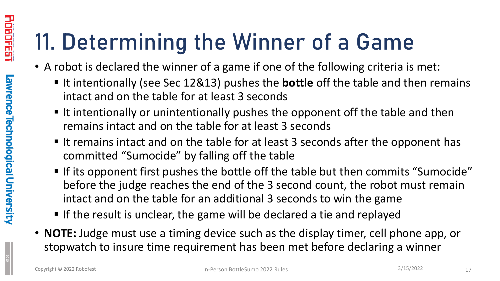### 11. Determining the Winner of a Game

- A robot is declared the winner of a game if one of the following criteria is met:
	- If intentionally (see Sec 12&13) pushes the **bottle** off the table and then remains intact and on the table for at least 3 seconds
	- If intentionally or unintentionally pushes the opponent off the table and then remains intact and on the table for at least 3 seconds
	- If it remains intact and on the table for at least 3 seconds after the opponent has committed "Sumocide" by falling off the table
	- If its opponent first pushes the bottle off the table but then commits "Sumocide" before the judge reaches the end of the 3 second count, the robot must remain intact and on the table for an additional 3 seconds to win the game
	- If the result is unclear, the game will be declared a tie and replayed
- **NOTE:** Judge must use a timing device such as the display timer, cell phone app, or stopwatch to insure time requirement has been met before declaring a winner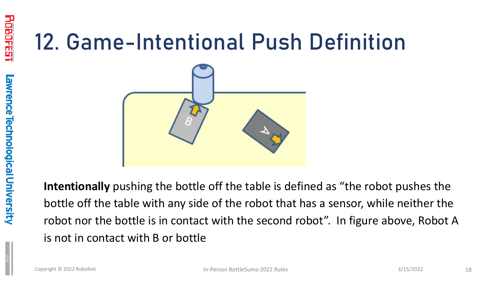#### 12. Game-Intentional Push Definition



**Intentionally** pushing the bottle off the table is defined as "the robot pushes the bottle off the table with any side of the robot that has a sensor, while neither the robot nor the bottle is in contact with the second robot". In figure above, Robot A is not in contact with B or bottle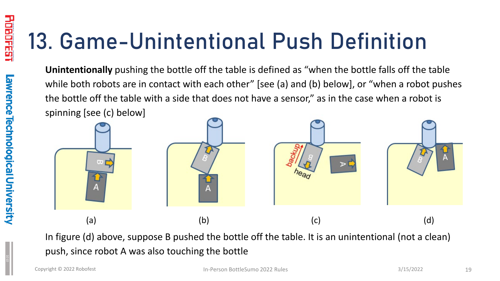### 13. Game-Unintentional Push Definition

**Unintentionally** pushing the bottle off the table is defined as "when the bottle falls off the table while both robots are in contact with each other" [see (a) and (b) below], or "when a robot pushes the bottle off the table with a side that does not have a sensor," as in the case when a robot is spinning [see (c) below]



In figure (d) above, suppose B pushed the bottle off the table. It is an unintentional (not a clean) push, since robot A was also touching the bottle

I HHLL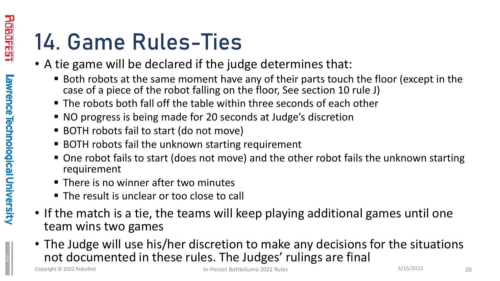### 14. Game Rules-Ties

- A tie game will be declared if the judge determines that:
	- Both robots at the same moment have any of their parts touch the floor (except in the case of a piece of the robot falling on the floor, See section 10 rule J)
	- The robots both fall off the table within three seconds of each other
	- NO progress is being made for 20 seconds at Judge's discretion
	- BOTH robots fail to start (do not move)
	- BOTH robots fail the unknown starting requirement
	- One robot fails to start (does not move) and the other robot fails the unknown starting requirement
	- There is no winner after two minutes
	- The result is unclear or too close to call
- If the match is a tie, the teams will keep playing additional games until one team wins two games
- The Judge will use his/her discretion to make any decisions for the situations not documented in these rules. The Judges' rulings are final

<u>Line Line</u>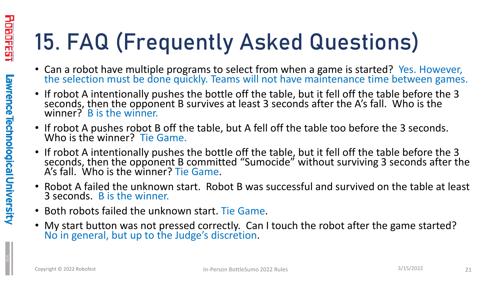## 15. FAQ (Frequently Asked Questions)

- Can a robot have multiple programs to select from when a game is started? Yes. However, the selection must be done quickly. Teams will not have maintenance time between games.
- If robot A intentionally pushes the bottle off the table, but it fell off the table before the 3 seconds, then the opponent B survives at least 3 seconds after the A's fall. Who is the winner? B is the winner.
- If robot A pushes robot B off the table, but A fell off the table too before the 3 seconds. Who is the winner? Tie Game.
- If robot A intentionally pushes the bottle off the table, but it fell off the table before the 3 seconds, then the opponent B committed "Sumocide" without surviving 3 seconds after the A's fall. Who is the winner? Tie Game.
- Robot A failed the unknown start. Robot B was successful and survived on the table at least 3 seconds. B is the winner.
- Both robots failed the unknown start. Tie Game.
- My start button was not pressed correctly. Can I touch the robot after the game started? No in general, but up to the Judge's discretion.